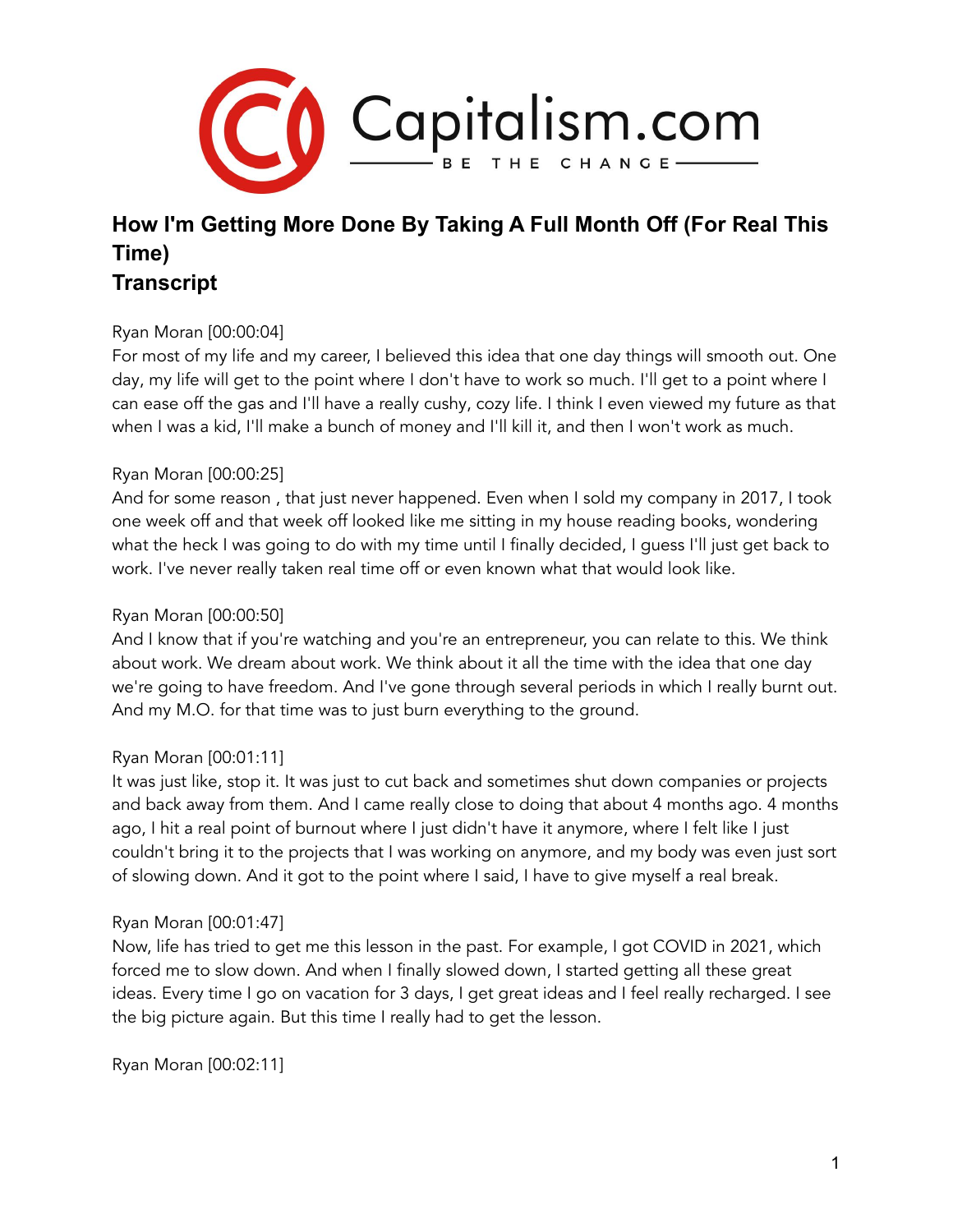

# **How I'm Getting More Done By Taking A Full Month Off (For Real This Time) Transcript**

## Ryan Moran [00:00:04]

For most of my life and my career, I believed this idea that one day things will smooth out. One day, my life will get to the point where I don't have to work so much. I'll get to a point where I can ease off the gas and I'll have a really cushy, cozy life. I think I even viewed my future as that when I was a kid, I'll make a bunch of money and I'll kill it, and then I won't work as much.

## Ryan Moran [00:00:25]

And for some reason , that just never happened. Even when I sold my company in 2017, I took one week off and that week off looked like me sitting in my house reading books, wondering what the heck I was going to do with my time until I finally decided, I guess I'll just get back to work. I've never really taken real time off or even known what that would look like.

## Ryan Moran [00:00:50]

And I know that if you're watching and you're an entrepreneur, you can relate to this. We think about work. We dream about work. We think about it all the time with the idea that one day we're going to have freedom. And I've gone through several periods in which I really burnt out. And my M.O. for that time was to just burn everything to the ground.

## Ryan Moran [00:01:11]

It was just like, stop it. It was just to cut back and sometimes shut down companies or projects and back away from them. And I came really close to doing that about 4 months ago. 4 months ago, I hit a real point of burnout where I just didn't have it anymore, where I felt like I just couldn't bring it to the projects that I was working on anymore, and my body was even just sort of slowing down. And it got to the point where I said, I have to give myself a real break.

## Ryan Moran [00:01:47]

Now, life has tried to get me this lesson in the past. For example, I got COVID in 2021, which forced me to slow down. And when I finally slowed down, I started getting all these great ideas. Every time I go on vacation for 3 days, I get great ideas and I feel really recharged. I see the big picture again. But this time I really had to get the lesson.

Ryan Moran [00:02:11]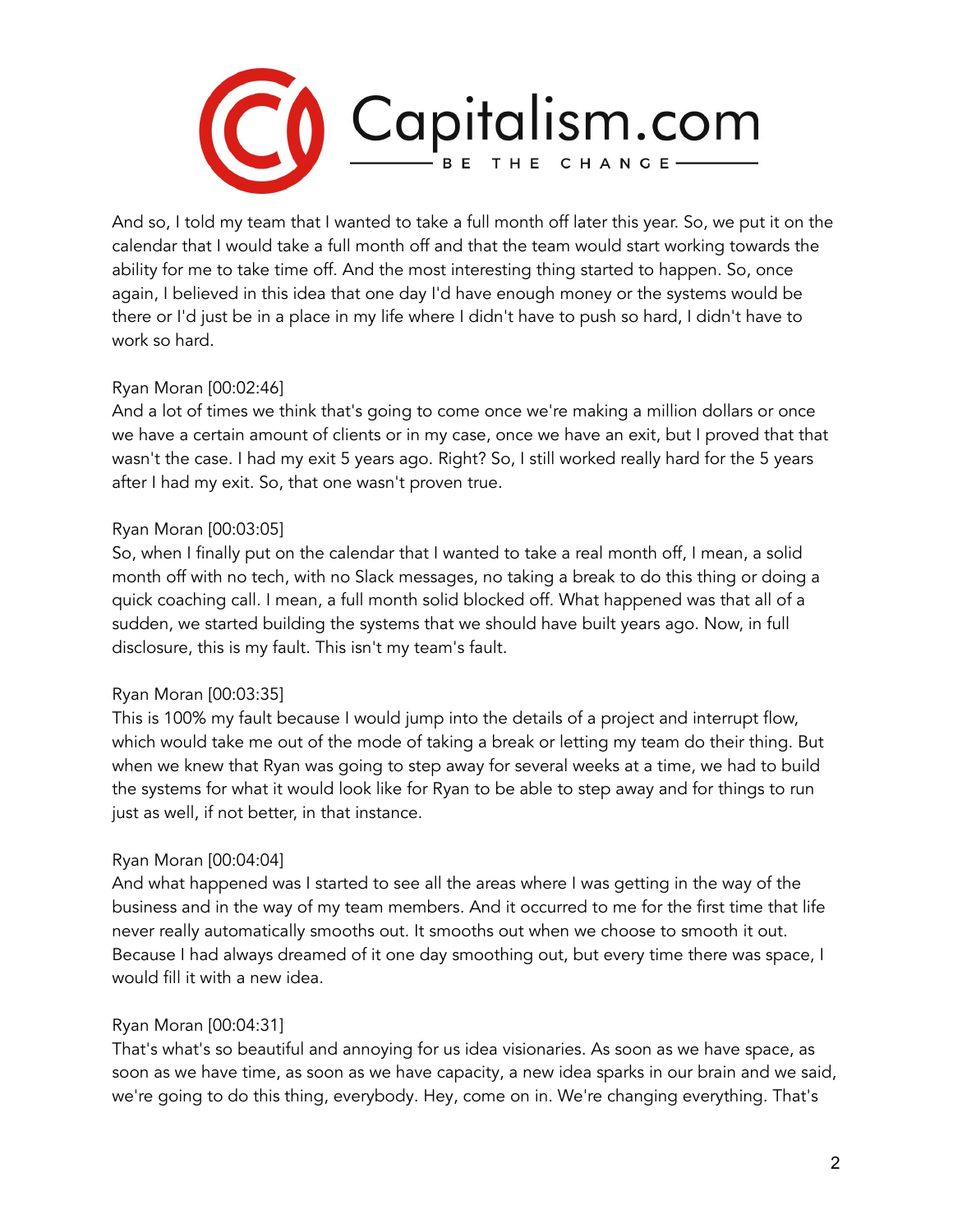

And so, I told my team that I wanted to take a full month off later this year. So, we put it on the calendar that I would take a full month off and that the team would start working towards the ability for me to take time off. And the most interesting thing started to happen. So, once again, I believed in this idea that one day I'd have enough money or the systems would be there or I'd just be in a place in my life where I didn't have to push so hard, I didn't have to work so hard.

## Ryan Moran [00:02:46]

And a lot of times we think that's going to come once we're making a million dollars or once we have a certain amount of clients or in my case, once we have an exit, but I proved that that wasn't the case. I had my exit 5 years ago. Right? So, I still worked really hard for the 5 years after I had my exit. So, that one wasn't proven true.

## Ryan Moran [00:03:05]

So, when I finally put on the calendar that I wanted to take a real month off, I mean, a solid month off with no tech, with no Slack messages, no taking a break to do this thing or doing a quick coaching call. I mean, a full month solid blocked off. What happened was that all of a sudden, we started building the systems that we should have built years ago. Now, in full disclosure, this is my fault. This isn't my team's fault.

# Ryan Moran [00:03:35]

This is 100% my fault because I would jump into the details of a project and interrupt flow, which would take me out of the mode of taking a break or letting my team do their thing. But when we knew that Ryan was going to step away for several weeks at a time, we had to build the systems for what it would look like for Ryan to be able to step away and for things to run just as well, if not better, in that instance.

# Ryan Moran [00:04:04]

And what happened was I started to see all the areas where I was getting in the way of the business and in the way of my team members. And it occurred to me for the first time that life never really automatically smooths out. It smooths out when we choose to smooth it out. Because I had always dreamed of it one day smoothing out, but every time there was space, I would fill it with a new idea.

## Ryan Moran [00:04:31]

That's what's so beautiful and annoying for us idea visionaries. As soon as we have space, as soon as we have time, as soon as we have capacity, a new idea sparks in our brain and we said, we're going to do this thing, everybody. Hey, come on in. We're changing everything. That's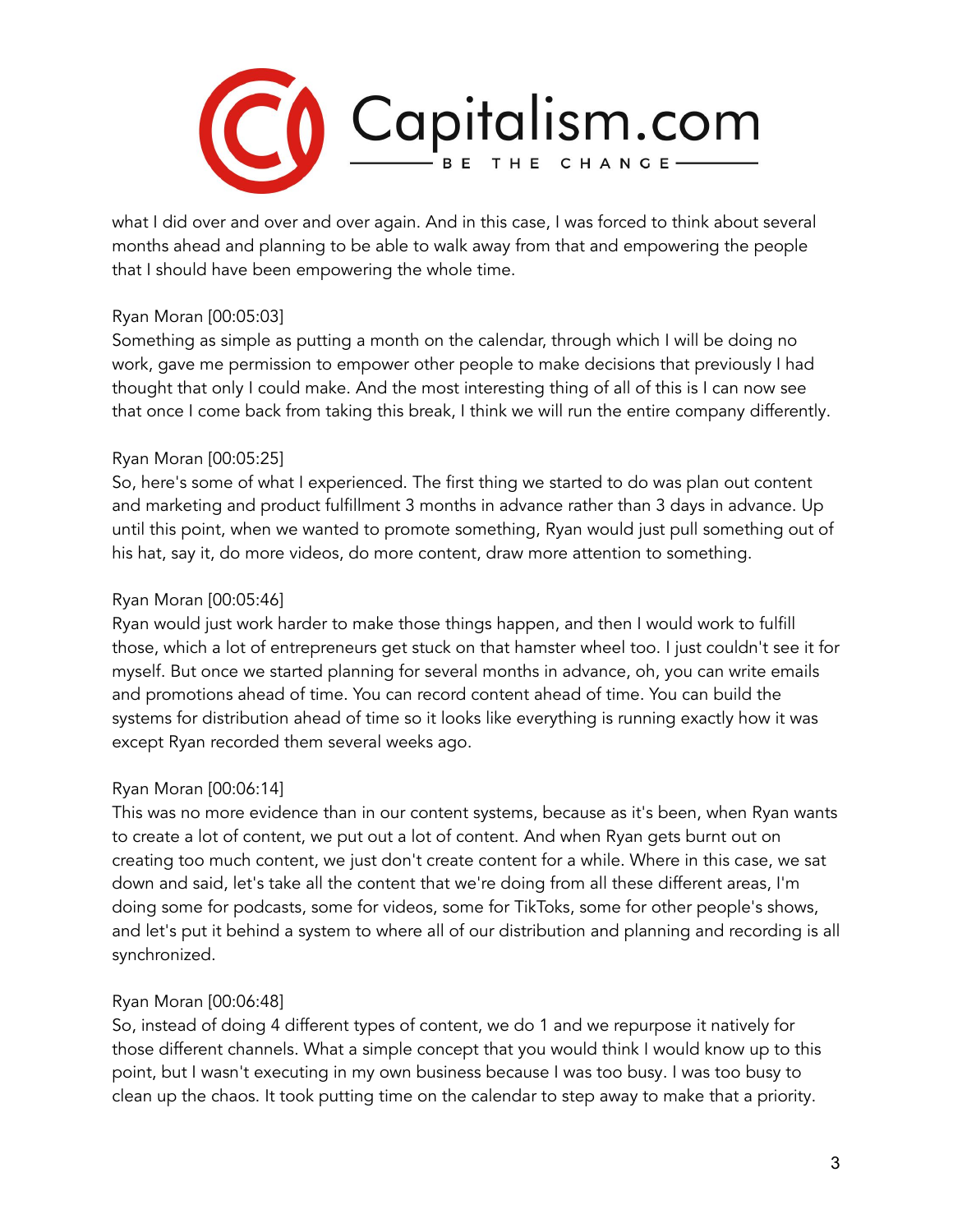

what I did over and over and over again. And in this case, I was forced to think about several months ahead and planning to be able to walk away from that and empowering the people that I should have been empowering the whole time.

## Ryan Moran [00:05:03]

Something as simple as putting a month on the calendar, through which I will be doing no work, gave me permission to empower other people to make decisions that previously I had thought that only I could make. And the most interesting thing of all of this is I can now see that once I come back from taking this break, I think we will run the entire company differently.

## Ryan Moran [00:05:25]

So, here's some of what I experienced. The first thing we started to do was plan out content and marketing and product fulfillment 3 months in advance rather than 3 days in advance. Up until this point, when we wanted to promote something, Ryan would just pull something out of his hat, say it, do more videos, do more content, draw more attention to something.

## Ryan Moran [00:05:46]

Ryan would just work harder to make those things happen, and then I would work to fulfill those, which a lot of entrepreneurs get stuck on that hamster wheel too. I just couldn't see it for myself. But once we started planning for several months in advance, oh, you can write emails and promotions ahead of time. You can record content ahead of time. You can build the systems for distribution ahead of time so it looks like everything is running exactly how it was except Ryan recorded them several weeks ago.

# Ryan Moran [00:06:14]

This was no more evidence than in our content systems, because as it's been, when Ryan wants to create a lot of content, we put out a lot of content. And when Ryan gets burnt out on creating too much content, we just don't create content for a while. Where in this case, we sat down and said, let's take all the content that we're doing from all these different areas, I'm doing some for podcasts, some for videos, some for TikToks, some for other people's shows, and let's put it behind a system to where all of our distribution and planning and recording is all synchronized.

## Ryan Moran [00:06:48]

So, instead of doing 4 different types of content, we do 1 and we repurpose it natively for those different channels. What a simple concept that you would think I would know up to this point, but I wasn't executing in my own business because I was too busy. I was too busy to clean up the chaos. It took putting time on the calendar to step away to make that a priority.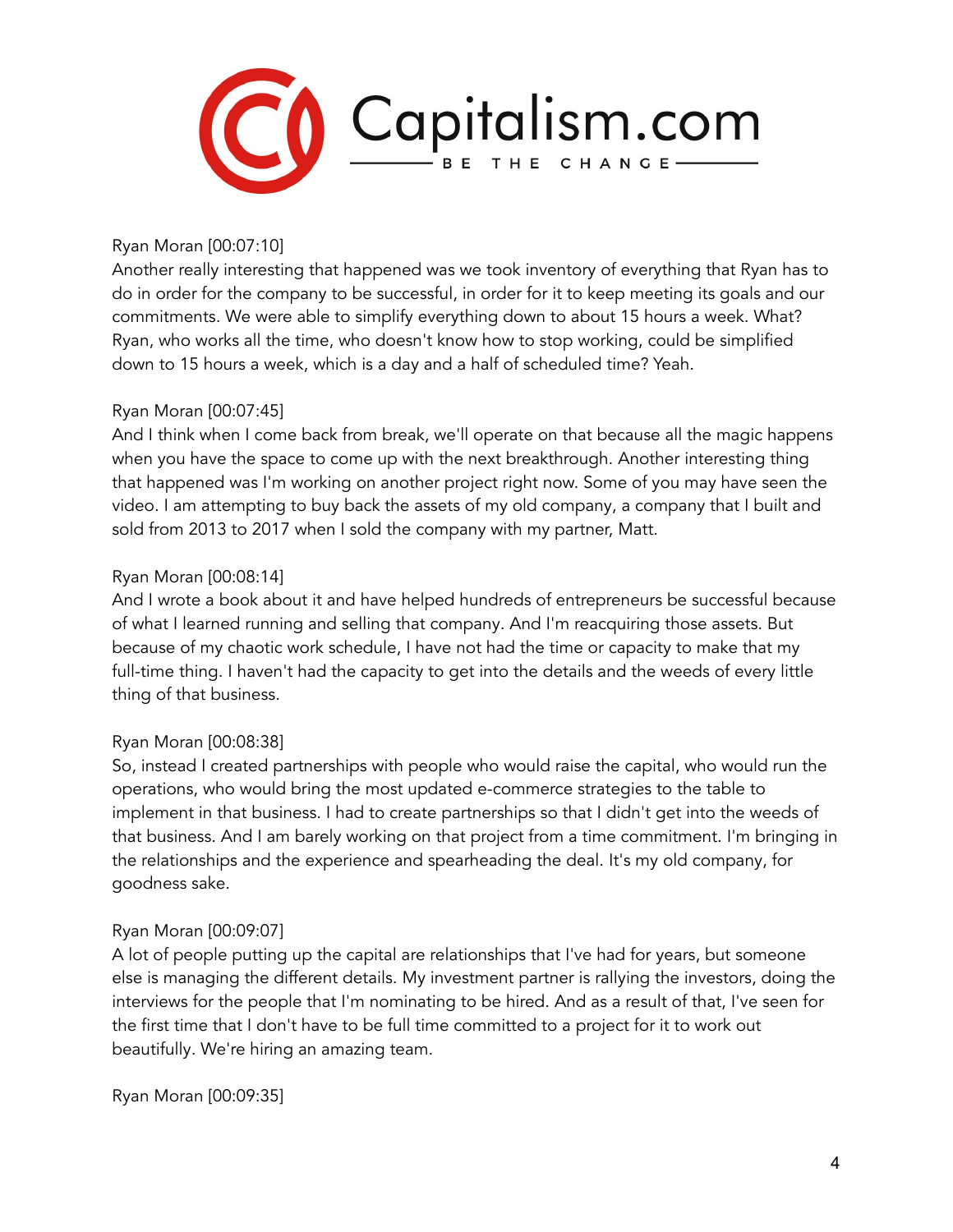

Ryan Moran [00:07:10]

Another really interesting that happened was we took inventory of everything that Ryan has to do in order for the company to be successful, in order for it to keep meeting its goals and our commitments. We were able to simplify everything down to about 15 hours a week. What? Ryan, who works all the time, who doesn't know how to stop working, could be simplified down to 15 hours a week, which is a day and a half of scheduled time? Yeah.

## Ryan Moran [00:07:45]

And I think when I come back from break, we'll operate on that because all the magic happens when you have the space to come up with the next breakthrough. Another interesting thing that happened was I'm working on another project right now. Some of you may have seen the video. I am attempting to buy back the assets of my old company, a company that I built and sold from 2013 to 2017 when I sold the company with my partner, Matt.

#### Ryan Moran [00:08:14]

And I wrote a book about it and have helped hundreds of entrepreneurs be successful because of what I learned running and selling that company. And I'm reacquiring those assets. But because of my chaotic work schedule, I have not had the time or capacity to make that my full-time thing. I haven't had the capacity to get into the details and the weeds of every little thing of that business.

## Ryan Moran [00:08:38]

So, instead I created partnerships with people who would raise the capital, who would run the operations, who would bring the most updated e-commerce strategies to the table to implement in that business. I had to create partnerships so that I didn't get into the weeds of that business. And I am barely working on that project from a time commitment. I'm bringing in the relationships and the experience and spearheading the deal. It's my old company, for goodness sake.

## Ryan Moran [00:09:07]

A lot of people putting up the capital are relationships that I've had for years, but someone else is managing the different details. My investment partner is rallying the investors, doing the interviews for the people that I'm nominating to be hired. And as a result of that, I've seen for the first time that I don't have to be full time committed to a project for it to work out beautifully. We're hiring an amazing team.

Ryan Moran [00:09:35]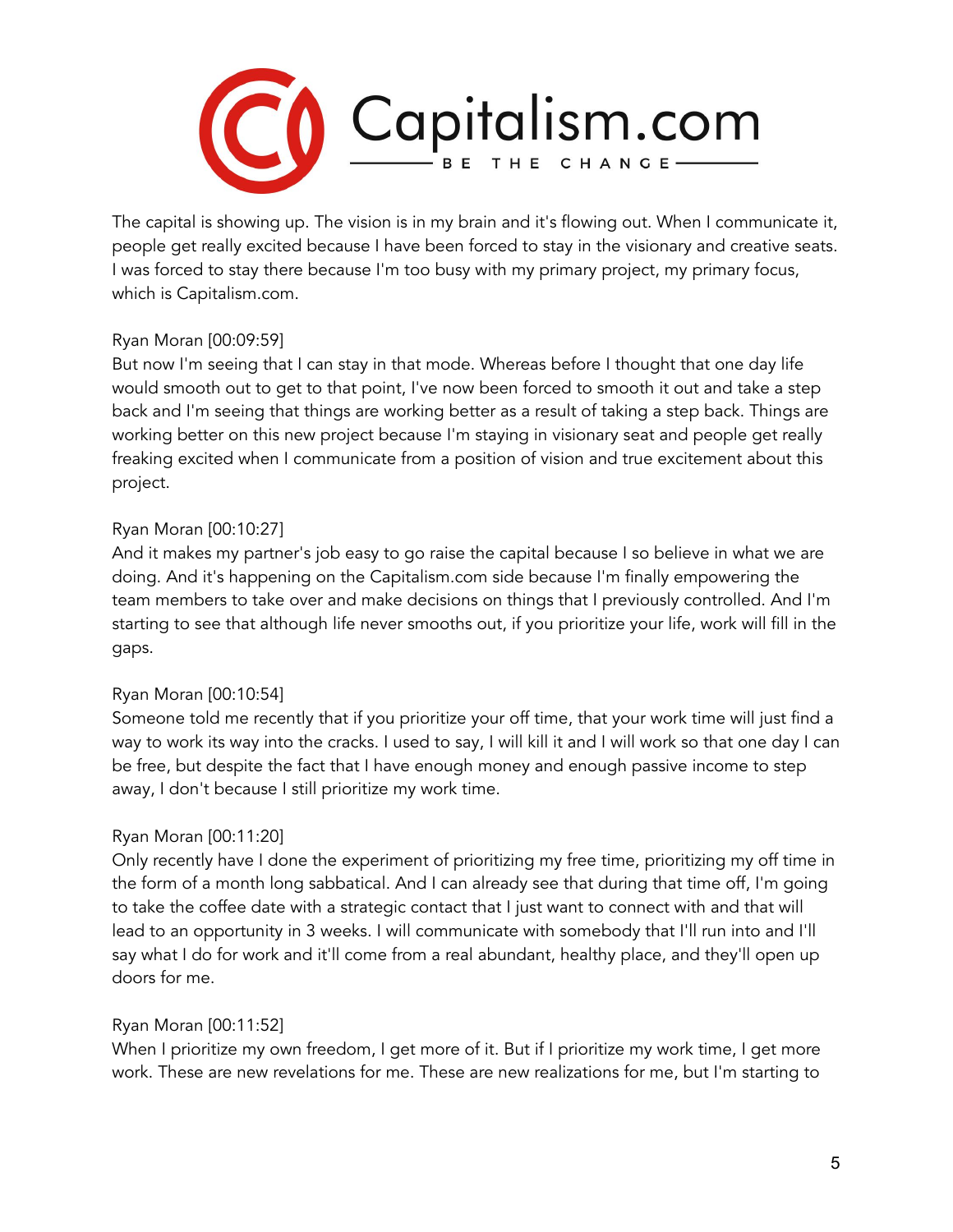

The capital is showing up. The vision is in my brain and it's flowing out. When I communicate it, people get really excited because I have been forced to stay in the visionary and creative seats. I was forced to stay there because I'm too busy with my primary project, my primary focus, which is Capitalism.com.

## Ryan Moran [00:09:59]

But now I'm seeing that I can stay in that mode. Whereas before I thought that one day life would smooth out to get to that point, I've now been forced to smooth it out and take a step back and I'm seeing that things are working better as a result of taking a step back. Things are working better on this new project because I'm staying in visionary seat and people get really freaking excited when I communicate from a position of vision and true excitement about this project.

## Ryan Moran [00:10:27]

And it makes my partner's job easy to go raise the capital because I so believe in what we are doing. And it's happening on the Capitalism.com side because I'm finally empowering the team members to take over and make decisions on things that I previously controlled. And I'm starting to see that although life never smooths out, if you prioritize your life, work will fill in the gaps.

# Ryan Moran [00:10:54]

Someone told me recently that if you prioritize your off time, that your work time will just find a way to work its way into the cracks. I used to say, I will kill it and I will work so that one day I can be free, but despite the fact that I have enough money and enough passive income to step away, I don't because I still prioritize my work time.

# Ryan Moran [00:11:20]

Only recently have I done the experiment of prioritizing my free time, prioritizing my off time in the form of a month long sabbatical. And I can already see that during that time off, I'm going to take the coffee date with a strategic contact that I just want to connect with and that will lead to an opportunity in 3 weeks. I will communicate with somebody that I'll run into and I'll say what I do for work and it'll come from a real abundant, healthy place, and they'll open up doors for me.

# Ryan Moran [00:11:52]

When I prioritize my own freedom, I get more of it. But if I prioritize my work time, I get more work. These are new revelations for me. These are new realizations for me, but I'm starting to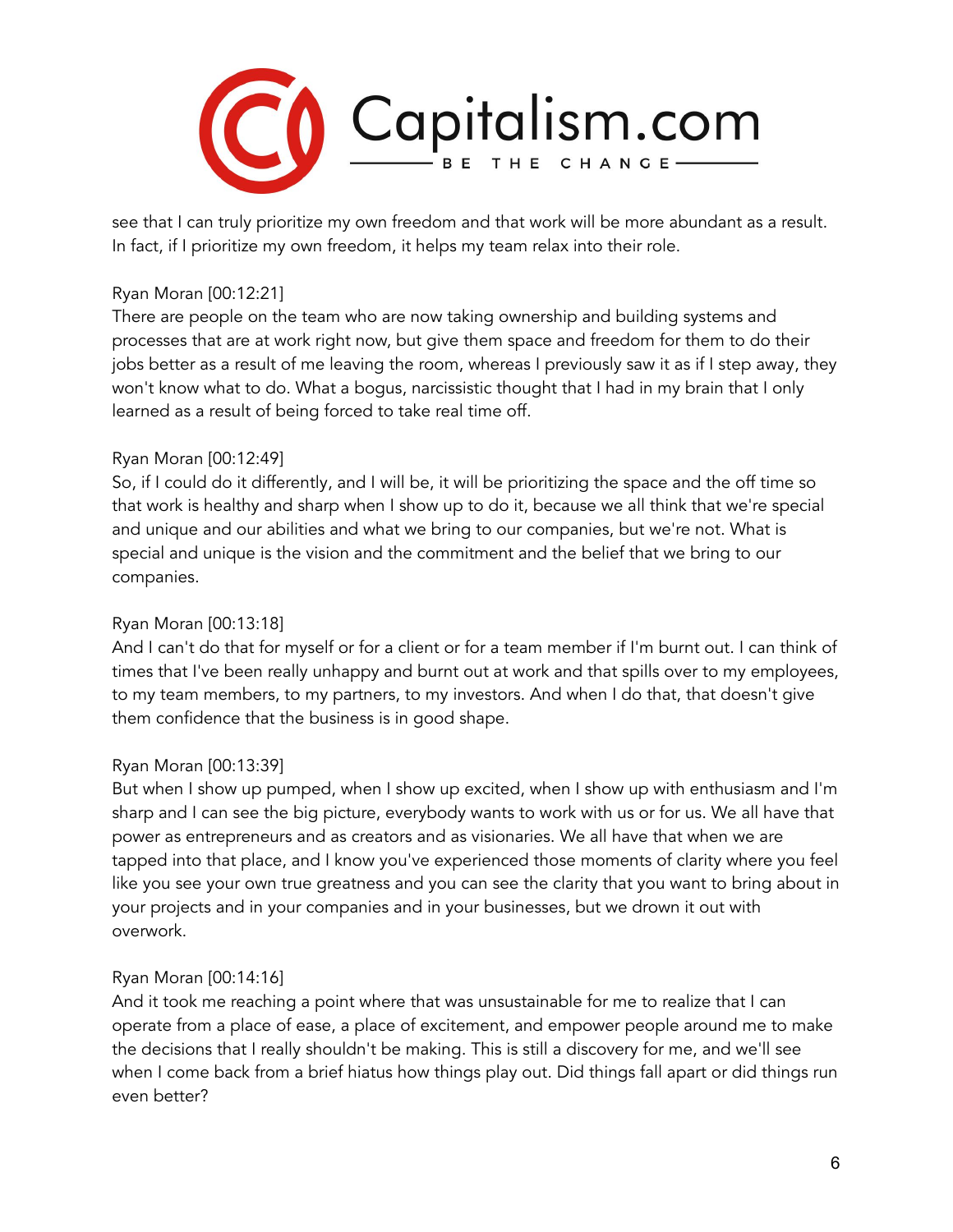

see that I can truly prioritize my own freedom and that work will be more abundant as a result. In fact, if I prioritize my own freedom, it helps my team relax into their role.

## Ryan Moran [00:12:21]

There are people on the team who are now taking ownership and building systems and processes that are at work right now, but give them space and freedom for them to do their jobs better as a result of me leaving the room, whereas I previously saw it as if I step away, they won't know what to do. What a bogus, narcissistic thought that I had in my brain that I only learned as a result of being forced to take real time off.

## Ryan Moran [00:12:49]

So, if I could do it differently, and I will be, it will be prioritizing the space and the off time so that work is healthy and sharp when I show up to do it, because we all think that we're special and unique and our abilities and what we bring to our companies, but we're not. What is special and unique is the vision and the commitment and the belief that we bring to our companies.

## Ryan Moran [00:13:18]

And I can't do that for myself or for a client or for a team member if I'm burnt out. I can think of times that I've been really unhappy and burnt out at work and that spills over to my employees, to my team members, to my partners, to my investors. And when I do that, that doesn't give them confidence that the business is in good shape.

## Ryan Moran [00:13:39]

But when I show up pumped, when I show up excited, when I show up with enthusiasm and I'm sharp and I can see the big picture, everybody wants to work with us or for us. We all have that power as entrepreneurs and as creators and as visionaries. We all have that when we are tapped into that place, and I know you've experienced those moments of clarity where you feel like you see your own true greatness and you can see the clarity that you want to bring about in your projects and in your companies and in your businesses, but we drown it out with overwork.

## Ryan Moran [00:14:16]

And it took me reaching a point where that was unsustainable for me to realize that I can operate from a place of ease, a place of excitement, and empower people around me to make the decisions that I really shouldn't be making. This is still a discovery for me, and we'll see when I come back from a brief hiatus how things play out. Did things fall apart or did things run even better?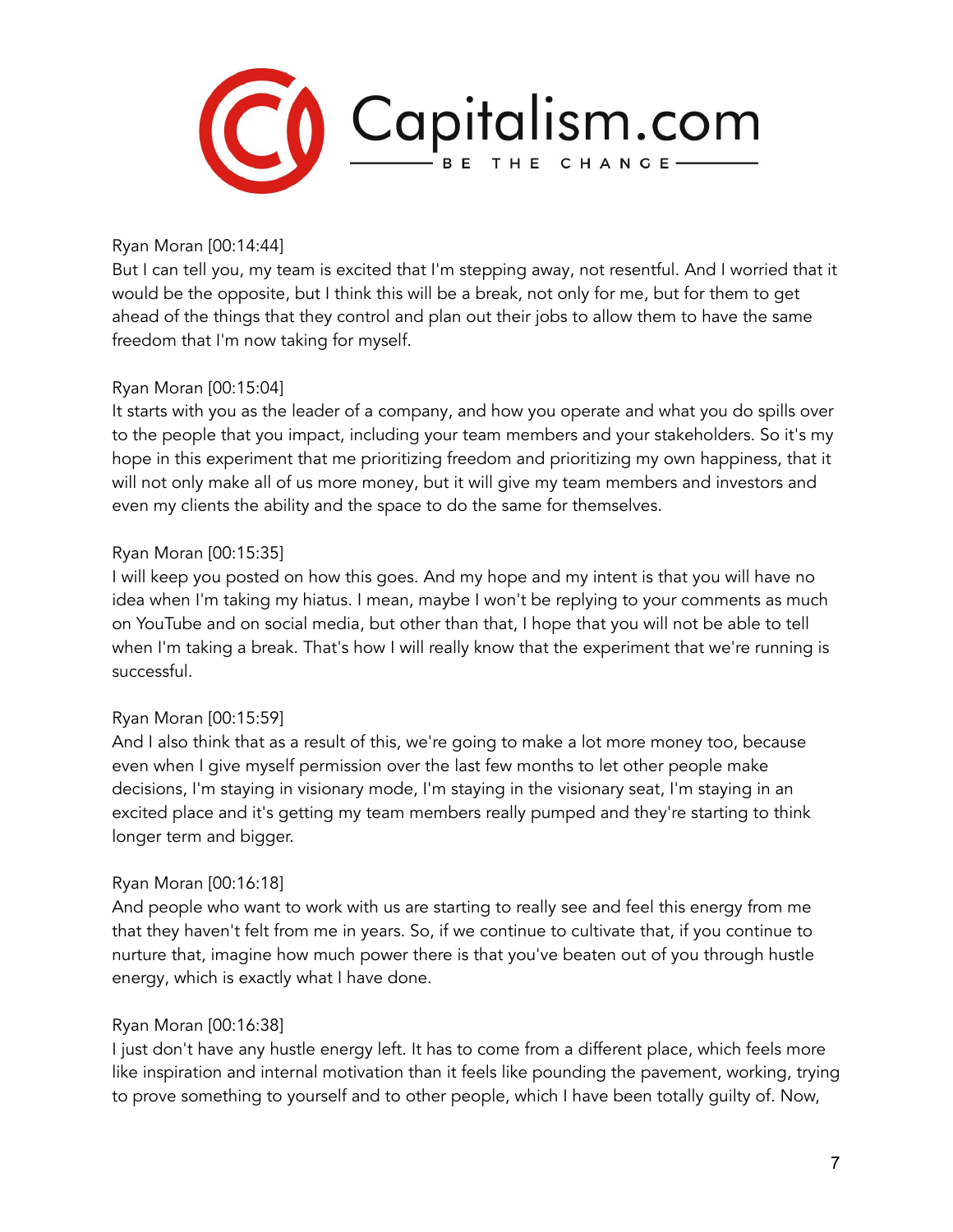

Ryan Moran [00:14:44]

But I can tell you, my team is excited that I'm stepping away, not resentful. And I worried that it would be the opposite, but I think this will be a break, not only for me, but for them to get ahead of the things that they control and plan out their jobs to allow them to have the same freedom that I'm now taking for myself.

## Ryan Moran [00:15:04]

It starts with you as the leader of a company, and how you operate and what you do spills over to the people that you impact, including your team members and your stakeholders. So it's my hope in this experiment that me prioritizing freedom and prioritizing my own happiness, that it will not only make all of us more money, but it will give my team members and investors and even my clients the ability and the space to do the same for themselves.

## Ryan Moran [00:15:35]

I will keep you posted on how this goes. And my hope and my intent is that you will have no idea when I'm taking my hiatus. I mean, maybe I won't be replying to your comments as much on YouTube and on social media, but other than that, I hope that you will not be able to tell when I'm taking a break. That's how I will really know that the experiment that we're running is successful.

## Ryan Moran [00:15:59]

And I also think that as a result of this, we're going to make a lot more money too, because even when I give myself permission over the last few months to let other people make decisions, I'm staying in visionary mode, I'm staying in the visionary seat, I'm staying in an excited place and it's getting my team members really pumped and they're starting to think longer term and bigger.

# Ryan Moran [00:16:18]

And people who want to work with us are starting to really see and feel this energy from me that they haven't felt from me in years. So, if we continue to cultivate that, if you continue to nurture that, imagine how much power there is that you've beaten out of you through hustle energy, which is exactly what I have done.

## Ryan Moran [00:16:38]

I just don't have any hustle energy left. It has to come from a different place, which feels more like inspiration and internal motivation than it feels like pounding the pavement, working, trying to prove something to yourself and to other people, which I have been totally guilty of. Now,